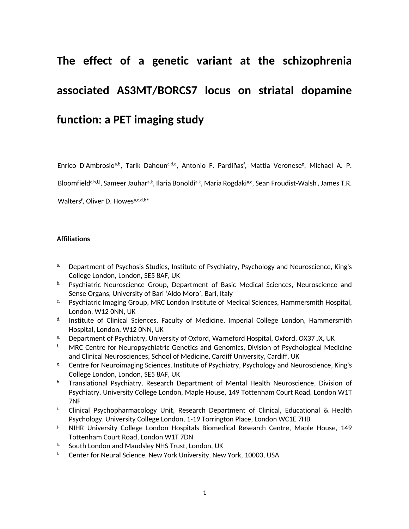# **The effect of a genetic variant at the schizophrenia associated AS3MT/BORCS7 locus on striatal dopamine function: a PET imaging study**

Enrico D'Ambrosio<sup>a, b</sup>, Tarik Dahoun<sup>c, d, e</sup>, Antonio F. Pardiñas<sup>f</sup>, Mattia Veronese<sup>g</sup>, Michael A. P.

Bloomfield<sup>c,h,i,j</sup>, Sameer Jauhar<sup>a,k</sup>, Ilaria Bonoldi<sup>a,k</sup>, Maria Rogdaki<sup>a,c</sup>, Sean Froudist-Walsh<sup>!</sup>, James T.R.

Walters<sup>f</sup>, Oliver D. Howes<sup>a,c,d,k\*</sup>

#### **Affiliations**

- a. Department of Psychosis Studies, Institute of Psychiatry, Psychology and Neuroscience, King's College London, London, SE5 8AF, UK
- b. Psychiatric Neuroscience Group, Department of Basic Medical Sciences, Neuroscience and Sense Organs, University of Bari 'Aldo Moro', Bari, Italy
- c. Psychiatric Imaging Group, MRC London Institute of Medical Sciences, Hammersmith Hospital, London, W12 0NN, UK
- d. Institute of Clinical Sciences, Faculty of Medicine, Imperial College London, Hammersmith Hospital, London, W12 0NN, UK
- e. Department of Psychiatry, University of Oxford, Warneford Hospital, Oxford, OX37 JX, UK
- f. MRC Centre for Neuropsychiatric Genetics and Genomics, Division of Psychological Medicine and Clinical Neurosciences, School of Medicine, Cardiff University, Cardiff, UK
- <sup>g.</sup> Centre for Neuroimaging Sciences, Institute of Psychiatry, Psychology and Neuroscience, King's College London, London, SE5 8AF, UK
- h. Translational Psychiatry, Research Department of Mental Health Neuroscience, Division of Psychiatry, University College London, Maple House, 149 Tottenham Court Road, London W1T 7NF
- i. Clinical Psychopharmacology Unit, Research Department of Clinical, Educational & Health Psychology, University College London, 1-19 Torrington Place, London WC1E 7HB
- <sup>j.</sup> NIHR University College London Hospitals Biomedical Research Centre, Maple House, 149 Tottenham Court Road, London W1T 7DN
- k. South London and Maudsley NHS Trust, London, UK
- <sup>1.</sup> Center for Neural Science, New York University, New York, 10003, USA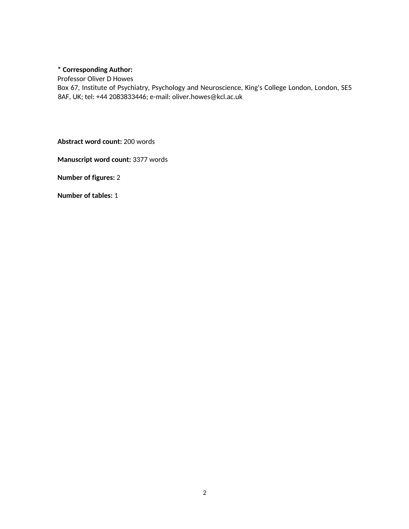## **\* Corresponding Author:**

Professor Oliver D Howes

Box 67, Institute of Psychiatry, Psychology and Neuroscience, King's College London, London, SE5 8AF, UK; tel: +44 2083833446; e-mail: oliver.howes@kcl.ac.uk

**Abstract word count:** 200 words

**Manuscript word count:** 3377 words

**Number of figures:** 2

**Number of tables:** 1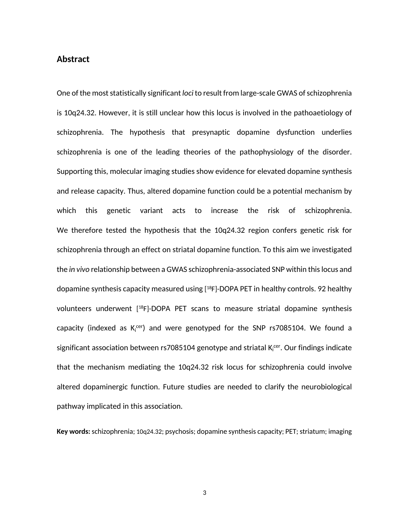## **Abstract**

One of the most statistically significant *loci* to result from large-scale GWAS of schizophrenia is 10q24.32. However, it is still unclear how this locus is involved in the pathoaetiology of schizophrenia. The hypothesis that presynaptic dopamine dysfunction underlies schizophrenia is one of the leading theories of the pathophysiology of the disorder. Supporting this, molecular imaging studies show evidence for elevated dopamine synthesis and release capacity. Thus, altered dopamine function could be a potential mechanism by which this genetic variant acts to increase the risk of schizophrenia. We therefore tested the hypothesis that the 10q24.32 region confers genetic risk for schizophrenia through an effect on striatal dopamine function. To this aim we investigated the *in vivo* relationship between a GWAS schizophrenia-associated SNP within this locus and dopamine synthesis capacity measured using [18F]-DOPA PET in healthy controls. 92 healthy volunteers underwent [18F]-DOPA PET scans to measure striatal dopamine synthesis capacity (indexed as  $\mathsf{K}_{\mathsf{i}}^{\mathsf{cer}}$ ) and were genotyped for the SNP rs7085104. We found a significant association between rs7085104 genotype and striatal  $\mathsf{K}_{\mathsf{i}}^{\mathsf{cer}}$ . Our findings indicate that the mechanism mediating the 10q24.32 risk locus for schizophrenia could involve altered dopaminergic function. Future studies are needed to clarify the neurobiological pathway implicated in this association.

**Key words:** schizophrenia; 10q24.32; psychosis; dopamine synthesis capacity; PET; striatum; imaging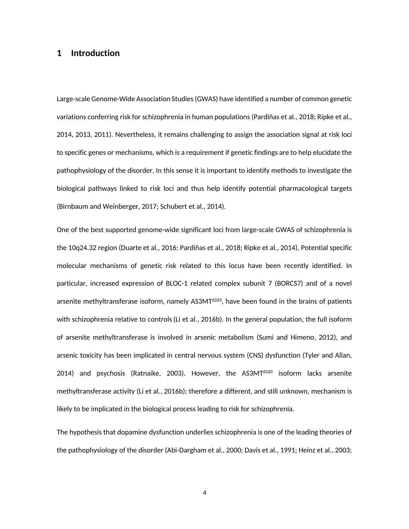## **1 Introduction**

Large-scale Genome-Wide Association Studies (GWAS) have identified a number of common genetic variations conferring risk for schizophrenia in human populations (Pardiñas et al., 2018; Ripke et al., 2014, 2013, 2011). Nevertheless, it remains challenging to assign the association signal at risk loci to specific genes or mechanisms, which is a requirement if genetic findings are to help elucidate the pathophysiology of the disorder. In this sense it is important to identify methods to investigate the biological pathways linked to risk loci and thus help identify potential pharmacological targets (Birnbaum and Weinberger, 2017; Schubert et al., 2014).

One of the best supported genome-wide significant loci from large-scale GWAS of schizophrenia is the 10q24.32 region (Duarte et al., 2016; Pardiñas et al., 2018; Ripke et al., 2014). Potential specific molecular mechanisms of genetic risk related to this locus have been recently identified. In particular, increased expression of BLOC-1 related complex subunit 7 (BORCS7) and of a novel arsenite methyltransferase isoform, namely AS3MT<sup>d2d3</sup>, have been found in the brains of patients with schizophrenia relative to controls(Li et al., 2016b). In the general population, the full isoform of arsenite methyltransferase is involved in arsenic metabolism (Sumi and Himeno, 2012), and arsenic toxicity has been implicated in central nervous system (CNS) dysfunction (Tyler and Allan, 2014) and psychosis (Ratnaike, 2003). However, the AS3MT $d^{2d3}$  isoform lacks arsenite methyltransferase activity (Li et al., 2016b); therefore a different, and still unknown, mechanism is likely to be implicated in the biological process leading to risk for schizophrenia.

The hypothesis that dopamine dysfunction underlies schizophrenia is one of the leading theories of the pathophysiology of the disorder (Abi-Dargham et al., 2000; Davis et al., 1991; Heinz et al., 2003;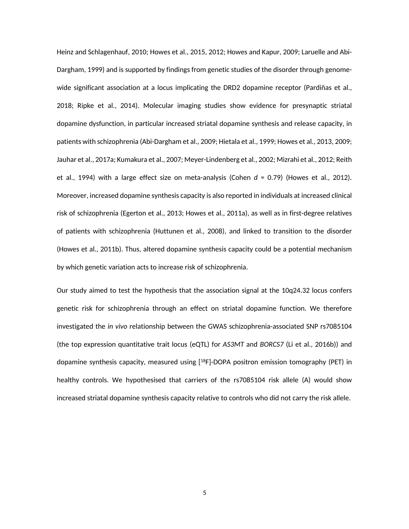Heinz and Schlagenhauf, 2010; Howes et al., 2015, 2012; Howes and Kapur, 2009; Laruelle and Abi-Dargham, 1999) and is supported by findings from genetic studies of the disorder through genomewide significant association at a locus implicating the DRD2 dopamine receptor (Pardiñas et al., 2018; Ripke et al., 2014). Molecular imaging studies show evidence for presynaptic striatal dopamine dysfunction, in particular increased striatal dopamine synthesis and release capacity, in patients with schizophrenia (Abi-Dargham et al., 2009; Hietala et al., 1999; Howes et al., 2013, 2009; Jauhar et al., 2017a; Kumakura et al., 2007; Meyer-Lindenberg et al., 2002; Mizrahi et al., 2012; Reith et al., 1994) with a large effect size on meta-analysis (Cohen *d* = 0.79) (Howes et al., 2012). Moreover, increased dopamine synthesis capacity is also reported in individuals at increased clinical risk of schizophrenia (Egerton et al., 2013; Howes et al., 2011a), as well as in first-degree relatives of patients with schizophrenia (Huttunen et al., 2008), and linked to transition to the disorder (Howes et al., 2011b). Thus, altered dopamine synthesis capacity could be a potential mechanism by which genetic variation acts to increase risk of schizophrenia.

Our study aimed to test the hypothesis that the association signal at the 10q24.32 locus confers genetic risk for schizophrenia through an effect on striatal dopamine function. We therefore investigated the *in vivo* relationship between the GWAS schizophrenia-associated SNP rs7085104 (the top expression quantitative trait locus (eQTL) for *AS3MT* and *BORCS7* (Li et al., 2016b)) and dopamine synthesis capacity, measured using [18F]-DOPA positron emission tomography (PET) in healthy controls. We hypothesised that carriers of the rs7085104 risk allele (A) would show increased striatal dopamine synthesis capacity relative to controls who did not carry the risk allele.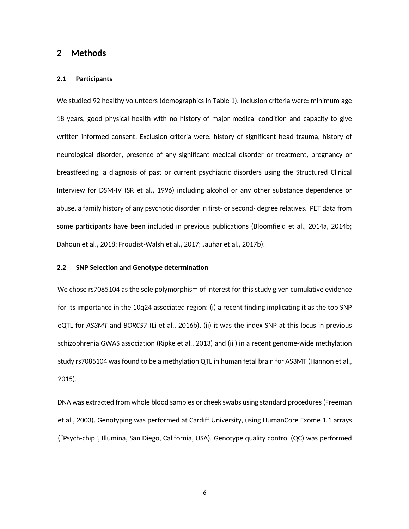## **2 Methods**

#### **2.1 Participants**

We studied 92 healthy volunteers (demographics in Table 1). Inclusion criteria were: minimum age 18 years, good physical health with no history of major medical condition and capacity to give written informed consent. Exclusion criteria were: history of significant head trauma, history of neurological disorder, presence of any significant medical disorder or treatment, pregnancy or breastfeeding, a diagnosis of past or current psychiatric disorders using the Structured Clinical Interview for DSM-IV (SR et al., 1996) including alcohol or any other substance dependence or abuse, a family history of any psychotic disorder in first- or second- degree relatives. PET data from some participants have been included in previous publications (Bloomfield et al., 2014a, 2014b; Dahoun et al., 2018; Froudist-Walsh et al., 2017; Jauhar et al., 2017b).

#### **2.2 SNP Selection and Genotype determination**

We chose rs7085104 as the sole polymorphism of interest for this study given cumulative evidence for its importance in the 10q24 associated region: (i) a recent finding implicating it as the top SNP eQTL for *AS3MT* and *BORCS7* (Li et al., 2016b), (ii) it was the index SNP at this locus in previous schizophrenia GWAS association (Ripke et al., 2013) and (iii) in a recent genome-wide methylation study rs7085104 was found to be a methylation QTL in human fetal brain for AS3MT (Hannon et al., 2015).

DNA was extracted from whole blood samples or cheek swabs using standard procedures (Freeman et al., 2003). Genotyping was performed at Cardiff University, using HumanCore Exome 1.1 arrays ("Psych-chip", Illumina, San Diego, California, USA). Genotype quality control (QC) was performed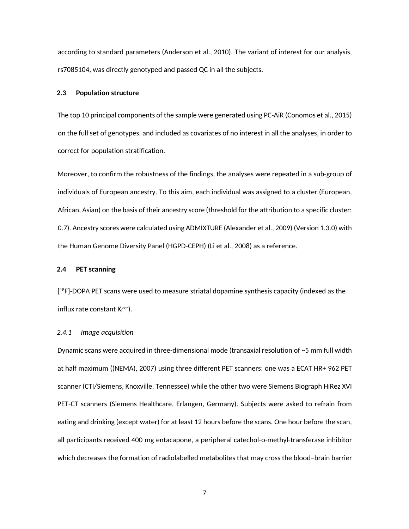according to standard parameters (Anderson et al., 2010). The variant of interest for our analysis, rs7085104, was directly genotyped and passed QC in all the subjects.

#### **2.3 Population structure**

The top 10 principal components of the sample were generated using PC-AiR (Conomos et al., 2015) on the full set of genotypes, and included as covariates of no interest in all the analyses, in order to correct for population stratification.

Moreover, to confirm the robustness of the findings, the analyses were repeated in a sub-group of individuals of European ancestry. To this aim, each individual was assigned to a cluster (European, African, Asian) on the basis of their ancestry score (threshold for the attribution to a specific cluster: 0.7). Ancestry scores were calculated using ADMIXTURE (Alexander et al., 2009) (Version 1.3.0) with the Human Genome Diversity Panel (HGPD-CEPH) (Li et al., 2008) as a reference.

#### **2.4 PET scanning**

[18F]-DOPA PET scans were used to measure striatal dopamine synthesis capacity (indexed as the influx rate constant K<sub>i</sub>cer).

#### *2.4.1 Image acquisition*

Dynamic scans were acquired in three-dimensional mode (transaxial resolution of  $\sim$ 5 mm full width at half maximum ((NEMA), 2007) using three different PET scanners: one was a ECAT HR+ 962 PET scanner (CTI/Siemens, Knoxville, Tennessee) while the other two were Siemens Biograph HiRez XVI PET-CT scanners (Siemens Healthcare, Erlangen, Germany). Subjects were asked to refrain from eating and drinking (except water) for at least 12 hours before the scans. One hour before the scan, all participants received 400 mg entacapone, a peripheral catechol-o-methyl-transferase inhibitor which decreases the formation of radiolabelled metabolites that may cross the blood–brain barrier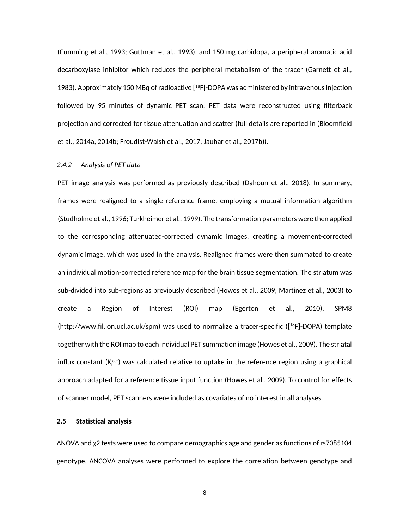(Cumming et al., 1993; Guttman et al., 1993), and 150 mg carbidopa, a peripheral aromatic acid decarboxylase inhibitor which reduces the peripheral metabolism of the tracer (Garnett et al., 1983). Approximately 150 MBq of radioactive [18F]-DOPA was administered by intravenous injection followed by 95 minutes of dynamic PET scan. PET data were reconstructed using filterback projection and corrected for tissue attenuation and scatter (full details are reported in (Bloomfield et al., 2014a, 2014b; Froudist-Walsh et al., 2017; Jauhar et al., 2017b)).

#### *2.4.2 Analysis of PET data*

PET image analysis was performed as previously described (Dahoun et al., 2018). In summary, frames were realigned to a single reference frame, employing a mutual information algorithm (Studholme et al., 1996; Turkheimer et al., 1999). The transformation parameters were then applied to the corresponding attenuated-corrected dynamic images, creating a movement-corrected dynamic image, which was used in the analysis. Realigned frames were then summated to create an individual motion-corrected reference map for the brain tissue segmentation. The striatum was sub-divided into sub-regions as previously described (Howes et al., 2009; Martinez et al., 2003) to create a Region of Interest (ROI) map (Egerton et al., 2010). SPM8 (http://www.fil.ion.ucl.ac.uk/spm) was used to normalize a tracer-specific ([18F]-DOPA) template together with the ROI map to each individual PET summation image (Howes et al., 2009). The striatal influx constant (K<sub>i</sub>cer) was calculated relative to uptake in the reference region using a graphical approach adapted for a reference tissue input function (Howes et al., 2009). To control for effects of scanner model, PET scanners were included as covariates of no interest in all analyses.

#### **2.5 Statistical analysis**

ANOVA and χ2 tests were used to compare demographics age and gender as functions of rs7085104 genotype. ANCOVA analyses were performed to explore the correlation between genotype and

8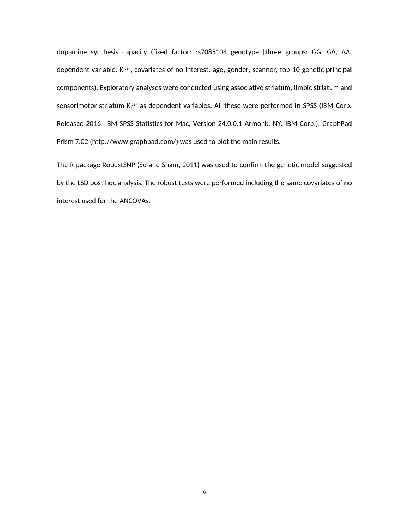dopamine synthesis capacity (fixed factor: rs7085104 genotype [three groups: GG, GA, AA, dependent variable: K<sub>i</sub>cer, covariates of no interest: age, gender, scanner, top 10 genetic principal components). Exploratory analyses were conducted using associative striatum, limbic striatum and sensorimotor striatum K<sub>i</sub><sup>cer</sup> as dependent variables. All these were performed in SPSS (IBM Corp. Released 2016. IBM SPSS Statistics for Mac, Version 24.0.0.1 Armonk, NY: IBM Corp.). GraphPad Prism 7.02 (http://www.graphpad.com/) was used to plot the main results.

The R package RobustSNP (So and Sham, 2011) was used to confirm the genetic model suggested by the LSD post hoc analysis. The robust tests were performed including the same covariates of no interest used for the ANCOVAs.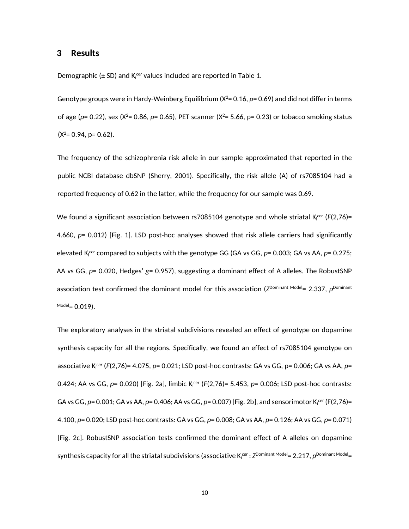## **3 Results**

Demographic (± SD) and K<sub>i</sub>cer values included are reported in Table 1.

Genotype groups were in Hardy-Weinberg Equilibrium ( $X^2$ = 0.16,  $p$ = 0.69) and did not differ in terms of age (*p*= 0.22), sex (X2= 0.86, *p*= 0.65), PET scanner (X2= 5.66, p= 0.23) or tobacco smoking status  $(X^2= 0.94, p= 0.62)$ .

The frequency of the schizophrenia risk allele in our sample approximated that reported in the public NCBI database dbSNP (Sherry, 2001). Specifically, the risk allele (A) of rs7085104 had a reported frequency of 0.62 in the latter, while the frequency for our sample was 0.69.

We found a significant association between rs7085104 genotype and whole striatal K<sub>i</sub>cer (F(2,76)= 4.660, *p*= 0.012) [Fig. 1]. LSD post-hoc analyses showed that risk allele carriers had significantly elevated Ki *cer* compared to subjects with the genotype GG (GA vs GG, *p*= 0.003; GA vs AA, *p*= 0.275; AA vs GG, *p*= 0.020, Hedges' *g*= 0.957), suggesting a dominant effect of A alleles. The RobustSNP association test confirmed the dominant model for this association (Z<sup>Dominant Model= 2.337, p<sup>Dominant</sup></sup>  $Model = 0.019$ .

The exploratory analyses in the striatal subdivisions revealed an effect of genotype on dopamine synthesis capacity for all the regions. Specifically, we found an effect of rs7085104 genotype on associative Ki *cer* (*F*(2,76)= 4.075, *p*= 0.021; LSD post-hoc contrasts: GA vs GG, p= 0.006; GA vs AA, *p*= 0.424; AA vs GG, *p*= 0.020) [Fig. 2a], limbic K<sub>i</sub><sup>cer</sup> (F(2,76)= 5.453, *p*= 0.006; LSD post-hoc contrasts: GA vs GG, *p*= 0.001; GA vs AA, *p*= 0.406; AA vs GG, *p*= 0.007) [Fig. 2b], and sensorimotor K<sub>i</sub>cer (F(2,76)= 4.100, *p*= 0.020; LSD post-hoc contrasts: GA vs GG, *p*= 0.008; GA vs AA, *p*= 0.126; AA vs GG, *p*= 0.071) [Fig. 2c]. RobustSNP association tests confirmed the dominant effect of A alleles on dopamine synthesis capacity for all the striatal subdivisions (associative K<sub>i</sub>cer : Z<sup>Dominant Model= 2.217, p<sup>Dominant Model</sup>=</sup>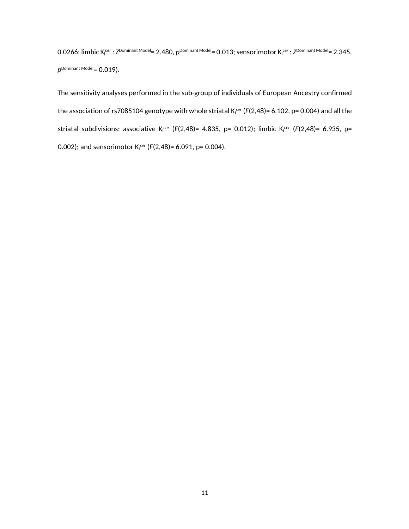0.0266; limbic Ki *cer* : *Z*Dominant Model= 2.480, *p*Dominant Model= 0.013; sensorimotor Ki *cer* : *Z*Dominant Model= 2.345,  $p^{\text{Dominant Model}} = 0.019$ ).

The sensitivity analyses performed in the sub-group of individuals of European Ancestry confirmed the association of rs7085104 genotype with whole striatal K $_{\rm i}^{\rm cer}$  (F(2,48)= 6.102, p= 0.004) and all the striatal subdivisions: associative K<sub>i</sub>cer (F(2,48)= 4.835, p= 0.012); limbic K<sub>i</sub>cer (F(2,48)= 6.935, p= 0.002); and sensorimotor K<sub>i</sub><sup>cer</sup> (F(2,48)= 6.091, p= 0.004).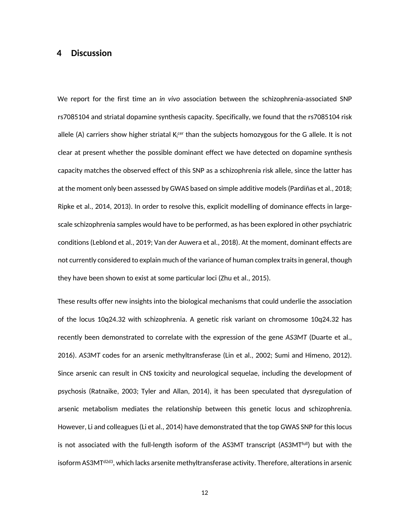## **4 Discussion**

We report for the first time an *in vivo* association between the schizophrenia-associated SNP rs7085104 and striatal dopamine synthesis capacity. Specifically, we found that the rs7085104 risk allele (A) carriers show higher striatal  $\mathsf{K}^\mathrm{cer}_i$  than the subjects homozygous for the G allele. It is not clear at present whether the possible dominant effect we have detected on dopamine synthesis capacity matches the observed effect of this SNP as a schizophrenia risk allele, since the latter has at the moment only been assessed by GWAS based on simple additive models (Pardiñas et al., 2018; Ripke et al., 2014, 2013). In order to resolve this, explicit modelling of dominance effects in largescale schizophrenia samples would have to be performed, as has been explored in other psychiatric conditions (Leblond et al., 2019; Van der Auwera et al., 2018). At the moment, dominant effects are not currently considered to explain much of the variance of human complex traits in general, though they have been shown to exist at some particular loci (Zhu et al., 2015).

These results offer new insights into the biological mechanisms that could underlie the association of the locus 10q24.32 with schizophrenia. A genetic risk variant on chromosome 10q24.32 has recently been demonstrated to correlate with the expression of the gene *AS3MT* (Duarte et al., 2016). *AS3MT* codes for an arsenic methyltransferase (Lin et al., 2002; Sumi and Himeno, 2012). Since arsenic can result in CNS toxicity and neurological sequelae, including the development of psychosis (Ratnaike, 2003; Tyler and Allan, 2014), it has been speculated that dysregulation of arsenic metabolism mediates the relationship between this genetic locus and schizophrenia. However, Li and colleagues (Li et al., 2014) have demonstrated that the top GWAS SNP for this locus is not associated with the full-length isoform of the AS3MT transcript (AS3MT<sup>full</sup>) but with the isoform AS3MT $^{42d3}$ , which lacks arsenite methyltransferase activity. Therefore, alterations in arsenic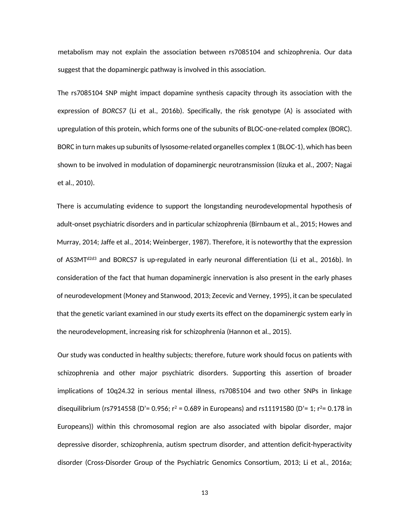metabolism may not explain the association between rs7085104 and schizophrenia. Our data suggest that the dopaminergic pathway is involved in this association.

The rs7085104 SNP might impact dopamine synthesis capacity through its association with the expression of *BORCS7* (Li et al., 2016b). Specifically, the risk genotype (A) is associated with upregulation of this protein, which forms one of the subunits of BLOC-one-related complex (BORC). BORC in turn makes up subunits of lysosome-related organelles complex 1 (BLOC-1), which has been shown to be involved in modulation of dopaminergic neurotransmission (Iizuka et al., 2007; Nagai et al., 2010).

There is accumulating evidence to support the longstanding neurodevelopmental hypothesis of adult-onset psychiatric disorders and in particular schizophrenia (Birnbaum et al., 2015; Howes and Murray, 2014; Jaffe et al., 2014; Weinberger, 1987). Therefore, it is noteworthy that the expression of AS3MT<sup>d2d3</sup> and BORCS7 is up-regulated in early neuronal differentiation (Li et al., 2016b). In consideration of the fact that human dopaminergic innervation is also present in the early phases of neurodevelopment (Money and Stanwood, 2013; Zecevic and Verney, 1995), it can be speculated that the genetic variant examined in our study exerts its effect on the dopaminergic system early in the neurodevelopment, increasing risk for schizophrenia (Hannon et al., 2015).

Our study was conducted in healthy subjects; therefore, future work should focus on patients with schizophrenia and other major psychiatric disorders. Supporting this assertion of broader implications of 10q24.32 in serious mental illness, rs7085104 and two other SNPs in linkage disequilibrium (rs7914558 (D'= 0.956;  $r^2$  = 0.689 in Europeans) and rs11191580 (D'= 1;  $r^2$ = 0.178 in Europeans)) within this chromosomal region are also associated with bipolar disorder, major depressive disorder, schizophrenia, autism spectrum disorder, and attention deficit-hyperactivity disorder (Cross-Disorder Group of the Psychiatric Genomics Consortium, 2013; Li et al., 2016a;

13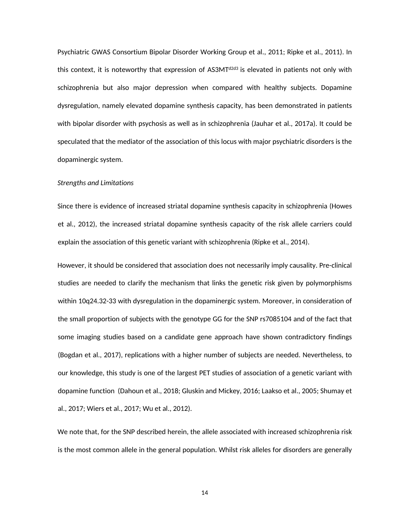Psychiatric GWAS Consortium Bipolar Disorder Working Group et al., 2011; Ripke et al., 2011). In this context, it is noteworthy that expression of AS3MT<sup>d2d3</sup> is elevated in patients not only with schizophrenia but also major depression when compared with healthy subjects. Dopamine dysregulation, namely elevated dopamine synthesis capacity, has been demonstrated in patients with bipolar disorder with psychosis as well as in schizophrenia (Jauhar et al., 2017a). It could be speculated that the mediator of the association of this locus with major psychiatric disorders is the dopaminergic system.

#### *Strengths and Limitations*

Since there is evidence of increased striatal dopamine synthesis capacity in schizophrenia (Howes et al., 2012), the increased striatal dopamine synthesis capacity of the risk allele carriers could explain the association of this genetic variant with schizophrenia (Ripke et al., 2014).

However, it should be considered that association does not necessarily imply causality. Pre-clinical studies are needed to clarify the mechanism that links the genetic risk given by polymorphisms within 10q24.32-33 with dysregulation in the dopaminergic system. Moreover, in consideration of the small proportion of subjects with the genotype GG for the SNP rs7085104 and of the fact that some imaging studies based on a candidate gene approach have shown contradictory findings (Bogdan et al., 2017), replications with a higher number of subjects are needed. Nevertheless, to our knowledge, this study is one of the largest PET studies of association of a genetic variant with dopamine function (Dahoun et al., 2018; Gluskin and Mickey, 2016; Laakso et al., 2005; Shumay et al., 2017; Wiers et al., 2017; Wu et al., 2012).

We note that, for the SNP described herein, the allele associated with increased schizophrenia risk is the most common allele in the general population. Whilst risk alleles for disorders are generally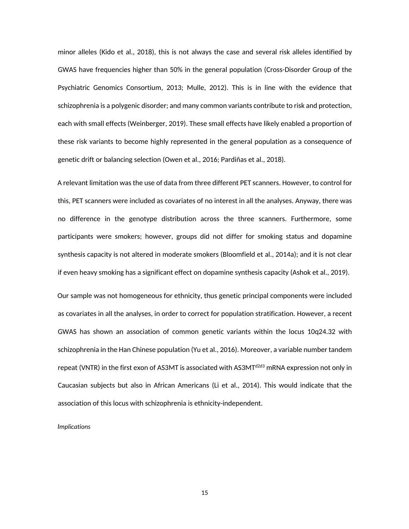minor alleles (Kido et al., 2018), this is not always the case and several risk alleles identified by GWAS have frequencies higher than 50% in the general population (Cross-Disorder Group of the Psychiatric Genomics Consortium, 2013; Mulle, 2012). This is in line with the evidence that schizophrenia is a polygenic disorder; and many common variants contribute to risk and protection, each with small effects (Weinberger, 2019). These small effects have likely enabled a proportion of these risk variants to become highly represented in the general population as a consequence of genetic drift or balancing selection (Owen et al., 2016; Pardiñas et al., 2018).

A relevant limitation was the use of data from three different PET scanners. However, to control for this, PET scanners were included as covariates of no interest in all the analyses. Anyway, there was no difference in the genotype distribution across the three scanners. Furthermore, some participants were smokers; however, groups did not differ for smoking status and dopamine synthesis capacity is not altered in moderate smokers (Bloomfield et al., 2014a); and it is not clear if even heavy smoking has a significant effect on dopamine synthesis capacity (Ashok et al., 2019).

Our sample was not homogeneous for ethnicity, thus genetic principal components were included as covariates in all the analyses, in order to correct for population stratification. However, a recent GWAS has shown an association of common genetic variants within the locus 10q24.32 with schizophrenia in the Han Chinese population (Yu et al., 2016). Moreover, a variable number tandem repeat (VNTR) in the first exon of AS3MT is associated with AS3MT<sup>d2d3</sup> mRNA expression not only in Caucasian subjects but also in African Americans (Li et al., 2014). This would indicate that the association of this locus with schizophrenia is ethnicity-independent.

*Implications*

15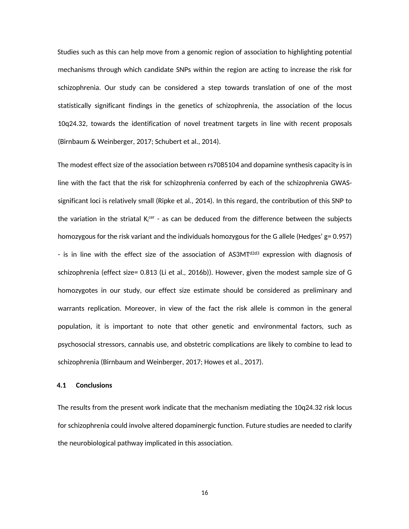Studies such as this can help move from a genomic region of association to highlighting potential mechanisms through which candidate SNPs within the region are acting to increase the risk for schizophrenia. Our study can be considered a step towards translation of one of the most statistically significant findings in the genetics of schizophrenia, the association of the locus 10q24.32, towards the identification of novel treatment targets in line with recent proposals (Birnbaum & Weinberger, 2017; Schubert et al., 2014).

The modest effect size of the association between rs7085104 and dopamine synthesis capacity is in line with the fact that the risk for schizophrenia conferred by each of the schizophrenia GWASsignificant loci is relatively small (Ripke et al., 2014). In this regard, the contribution of this SNP to the variation in the striatal  $K_i^{cer}$  - as can be deduced from the difference between the subjects homozygous for the risk variant and the individuals homozygous for the G allele (Hedges' g= 0.957) - is in line with the effect size of the association of AS3MT $d^{2}$ d3 expression with diagnosis of schizophrenia (effect size= 0.813 (Li et al., 2016b)). However, given the modest sample size of G homozygotes in our study, our effect size estimate should be considered as preliminary and warrants replication. Moreover, in view of the fact the risk allele is common in the general population, it is important to note that other genetic and environmental factors, such as psychosocial stressors, cannabis use, and obstetric complications are likely to combine to lead to schizophrenia (Birnbaum and Weinberger, 2017; Howes et al., 2017).

### **4.1 Conclusions**

The results from the present work indicate that the mechanism mediating the 10q24.32 risk locus for schizophrenia could involve altered dopaminergic function. Future studies are needed to clarify the neurobiological pathway implicated in this association.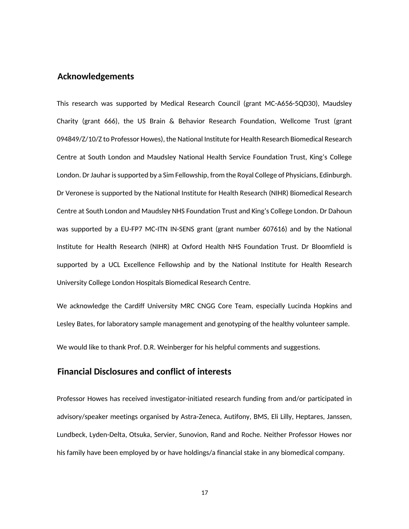## **Acknowledgements**

This research was supported by Medical Research Council (grant MC-A656-5QD30), Maudsley Charity (grant 666), the US Brain & Behavior Research Foundation, Wellcome Trust (grant 094849/Z/10/Z to Professor Howes), the National Institute for Health Research Biomedical Research Centre at South London and Maudsley National Health Service Foundation Trust, King's College London. Dr Jauhar is supported by a Sim Fellowship, from the Royal College of Physicians, Edinburgh. Dr Veronese is supported by the National Institute for Health Research (NIHR) Biomedical Research Centre at South London and Maudsley NHS Foundation Trust and King's College London. Dr Dahoun was supported by a EU-FP7 MC-ITN IN-SENS grant (grant number 607616) and by the National Institute for Health Research (NIHR) at Oxford Health NHS Foundation Trust. Dr Bloomfield is supported by a UCL Excellence Fellowship and by the National Institute for Health Research University College London Hospitals Biomedical Research Centre.

We acknowledge the Cardiff University MRC CNGG Core Team, especially Lucinda Hopkins and Lesley Bates, for laboratory sample management and genotyping of the healthy volunteer sample.

We would like to thank Prof. D.R. Weinberger for his helpful comments and suggestions.

# **Financial Disclosures and conflict of interests**

Professor Howes has received investigator-initiated research funding from and/or participated in advisory/speaker meetings organised by Astra-Zeneca, Autifony, BMS, Eli Lilly, Heptares, Janssen, Lundbeck, Lyden-Delta, Otsuka, Servier, Sunovion, Rand and Roche. Neither Professor Howes nor his family have been employed by or have holdings/a financial stake in any biomedical company.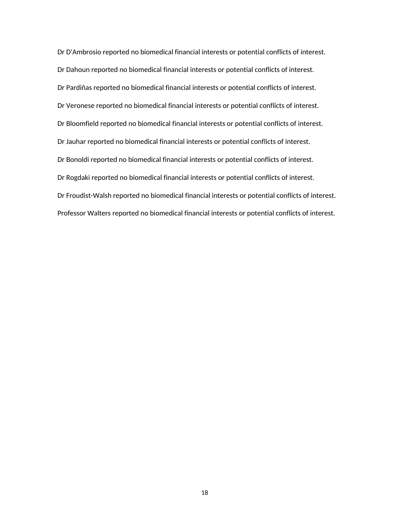Dr D'Ambrosio reported no biomedical financial interests or potential conflicts of interest. Dr Dahoun reported no biomedical financial interests or potential conflicts of interest. Dr Pardiñas reported no biomedical financial interests or potential conflicts of interest. Dr Veronese reported no biomedical financial interests or potential conflicts of interest. Dr Bloomfield reported no biomedical financial interests or potential conflicts of interest. Dr Jauhar reported no biomedical financial interests or potential conflicts of interest. Dr Bonoldi reported no biomedical financial interests or potential conflicts of interest. Dr Rogdaki reported no biomedical financial interests or potential conflicts of interest. Dr Froudist-Walsh reported no biomedical financial interests or potential conflicts of interest. Professor Walters reported no biomedical financial interests or potential conflicts of interest.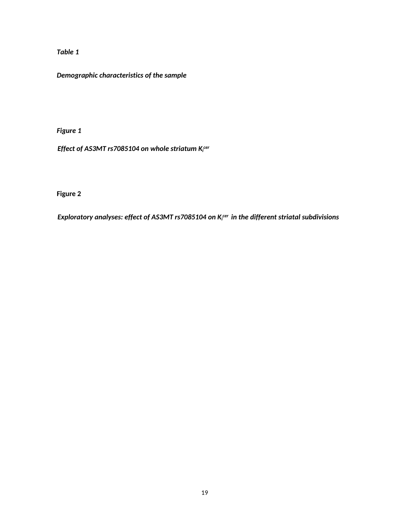*Table 1*

*Demographic characteristics of the sample*

*Figure 1*

*Effect of AS3MT rs7085104 on whole striatum Ki cer*

**Figure 2**

*Exploratory analyses: effect of AS3MT rs7085104 on Ki cer in the different striatal subdivisions*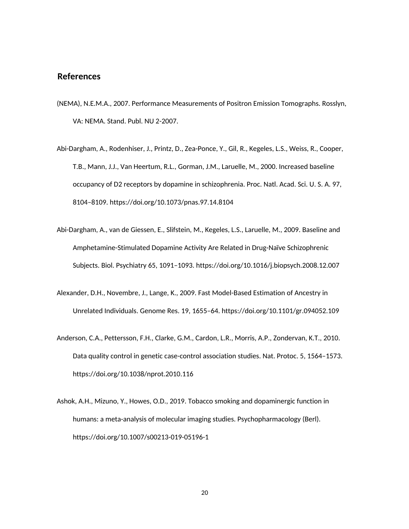## **References**

- (NEMA), N.E.M.A., 2007. Performance Measurements of Positron Emission Tomographs. Rosslyn, VA: NEMA. Stand. Publ. NU 2-2007.
- Abi-Dargham, A., Rodenhiser, J., Printz, D., Zea-Ponce, Y., Gil, R., Kegeles, L.S., Weiss, R., Cooper, T.B., Mann, J.J., Van Heertum, R.L., Gorman, J.M., Laruelle, M., 2000. Increased baseline occupancy of D2 receptors by dopamine in schizophrenia. Proc. Natl. Acad. Sci. U. S. A. 97, 8104–8109. https://doi.org/10.1073/pnas.97.14.8104
- Abi-Dargham, A., van de Giessen, E., Slifstein, M., Kegeles, L.S., Laruelle, M., 2009. Baseline and Amphetamine-Stimulated Dopamine Activity Are Related in Drug-Naïve Schizophrenic Subjects. Biol. Psychiatry 65, 1091–1093. https://doi.org/10.1016/j.biopsych.2008.12.007
- Alexander, D.H., Novembre, J., Lange, K., 2009. Fast Model-Based Estimation of Ancestry in Unrelated Individuals. Genome Res. 19, 1655–64. https://doi.org/10.1101/gr.094052.109
- Anderson, C.A., Pettersson, F.H., Clarke, G.M., Cardon, L.R., Morris, A.P., Zondervan, K.T., 2010. Data quality control in genetic case-control association studies. Nat. Protoc. 5, 1564–1573. https://doi.org/10.1038/nprot.2010.116
- Ashok, A.H., Mizuno, Y., Howes, O.D., 2019. Tobacco smoking and dopaminergic function in humans: a meta-analysis of molecular imaging studies. Psychopharmacology (Berl). https://doi.org/10.1007/s00213-019-05196-1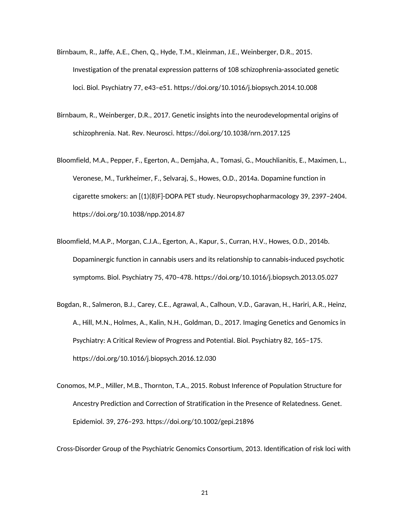- Birnbaum, R., Jaffe, A.E., Chen, Q., Hyde, T.M., Kleinman, J.E., Weinberger, D.R., 2015. Investigation of the prenatal expression patterns of 108 schizophrenia-associated genetic loci. Biol. Psychiatry 77, e43–e51. https://doi.org/10.1016/j.biopsych.2014.10.008
- Birnbaum, R., Weinberger, D.R., 2017. Genetic insights into the neurodevelopmental origins of schizophrenia. Nat. Rev. Neurosci. https://doi.org/10.1038/nrn.2017.125
- Bloomfield, M.A., Pepper, F., Egerton, A., Demjaha, A., Tomasi, G., Mouchlianitis, E., Maximen, L., Veronese, M., Turkheimer, F., Selvaraj, S., Howes, O.D., 2014a. Dopamine function in cigarette smokers: an [(1)(8)F]-DOPA PET study. Neuropsychopharmacology 39, 2397–2404. https://doi.org/10.1038/npp.2014.87
- Bloomfield, M.A.P., Morgan, C.J.A., Egerton, A., Kapur, S., Curran, H.V., Howes, O.D., 2014b. Dopaminergic function in cannabis users and its relationship to cannabis-induced psychotic symptoms. Biol. Psychiatry 75, 470–478. https://doi.org/10.1016/j.biopsych.2013.05.027
- Bogdan, R., Salmeron, B.J., Carey, C.E., Agrawal, A., Calhoun, V.D., Garavan, H., Hariri, A.R., Heinz, A., Hill, M.N., Holmes, A., Kalin, N.H., Goldman, D., 2017. Imaging Genetics and Genomics in Psychiatry: A Critical Review of Progress and Potential. Biol. Psychiatry 82, 165–175. https://doi.org/10.1016/j.biopsych.2016.12.030
- Conomos, M.P., Miller, M.B., Thornton, T.A., 2015. Robust Inference of Population Structure for Ancestry Prediction and Correction of Stratification in the Presence of Relatedness. Genet. Epidemiol. 39, 276–293. https://doi.org/10.1002/gepi.21896

Cross-Disorder Group of the Psychiatric Genomics Consortium, 2013. Identification of risk loci with

21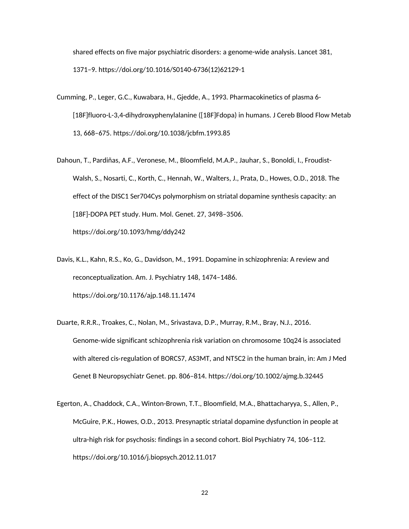shared effects on five major psychiatric disorders: a genome-wide analysis. Lancet 381, 1371–9. https://doi.org/10.1016/S0140-6736(12)62129-1

- Cumming, P., Leger, G.C., Kuwabara, H., Gjedde, A., 1993. Pharmacokinetics of plasma 6- [18F]fluoro-L-3,4-dihydroxyphenylalanine ([18F]Fdopa) in humans. J Cereb Blood Flow Metab 13, 668–675. https://doi.org/10.1038/jcbfm.1993.85
- Dahoun, T., Pardiñas, A.F., Veronese, M., Bloomfield, M.A.P., Jauhar, S., Bonoldi, I., Froudist-Walsh, S., Nosarti, C., Korth, C., Hennah, W., Walters, J., Prata, D., Howes, O.D., 2018. The effect of the DISC1 Ser704Cys polymorphism on striatal dopamine synthesis capacity: an [18F]-DOPA PET study. Hum. Mol. Genet. 27, 3498–3506. https://doi.org/10.1093/hmg/ddy242
- Davis, K.L., Kahn, R.S., Ko, G., Davidson, M., 1991. Dopamine in schizophrenia: A review and reconceptualization. Am. J. Psychiatry 148, 1474–1486.

https://doi.org/10.1176/ajp.148.11.1474

- Duarte, R.R.R., Troakes, C., Nolan, M., Srivastava, D.P., Murray, R.M., Bray, N.J., 2016. Genome‐wide significant schizophrenia risk variation on chromosome 10q24 is associated with altered cis-regulation of BORCS7, AS3MT, and NT5C2 in the human brain, in: Am J Med Genet B Neuropsychiatr Genet. pp. 806–814. https://doi.org/10.1002/ajmg.b.32445
- Egerton, A., Chaddock, C.A., Winton-Brown, T.T., Bloomfield, M.A., Bhattacharyya, S., Allen, P., McGuire, P.K., Howes, O.D., 2013. Presynaptic striatal dopamine dysfunction in people at ultra-high risk for psychosis: findings in a second cohort. Biol Psychiatry 74, 106–112. https://doi.org/10.1016/j.biopsych.2012.11.017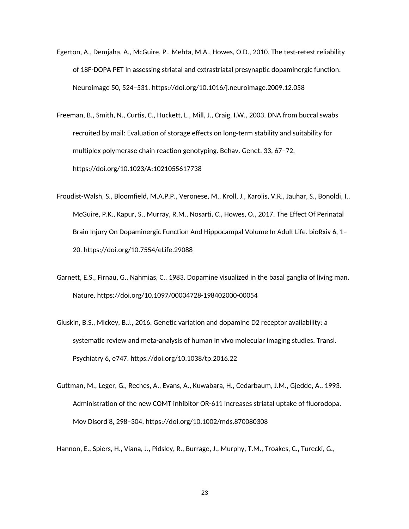- Egerton, A., Demjaha, A., McGuire, P., Mehta, M.A., Howes, O.D., 2010. The test-retest reliability of 18F-DOPA PET in assessing striatal and extrastriatal presynaptic dopaminergic function. Neuroimage 50, 524–531. https://doi.org/10.1016/j.neuroimage.2009.12.058
- Freeman, B., Smith, N., Curtis, C., Huckett, L., Mill, J., Craig, I.W., 2003. DNA from buccal swabs recruited by mail: Evaluation of storage effects on long-term stability and suitability for multiplex polymerase chain reaction genotyping. Behav. Genet. 33, 67–72. https://doi.org/10.1023/A:1021055617738
- Froudist-Walsh, S., Bloomfield, M.A.P.P., Veronese, M., Kroll, J., Karolis, V.R., Jauhar, S., Bonoldi, I., McGuire, P.K., Kapur, S., Murray, R.M., Nosarti, C., Howes, O., 2017. The Effect Of Perinatal Brain Injury On Dopaminergic Function And Hippocampal Volume In Adult Life. bioRxiv 6, 1– 20. https://doi.org/10.7554/eLife.29088
- Garnett, E.S., Firnau, G., Nahmias, C., 1983. Dopamine visualized in the basal ganglia of living man. Nature. https://doi.org/10.1097/00004728-198402000-00054
- Gluskin, B.S., Mickey, B.J., 2016. Genetic variation and dopamine D2 receptor availability: a systematic review and meta-analysis of human in vivo molecular imaging studies. Transl. Psychiatry 6, e747. https://doi.org/10.1038/tp.2016.22
- Guttman, M., Leger, G., Reches, A., Evans, A., Kuwabara, H., Cedarbaum, J.M., Gjedde, A., 1993. Administration of the new COMT inhibitor OR-611 increases striatal uptake of fluorodopa. Mov Disord 8, 298–304. https://doi.org/10.1002/mds.870080308

Hannon, E., Spiers, H., Viana, J., Pidsley, R., Burrage, J., Murphy, T.M., Troakes, C., Turecki, G.,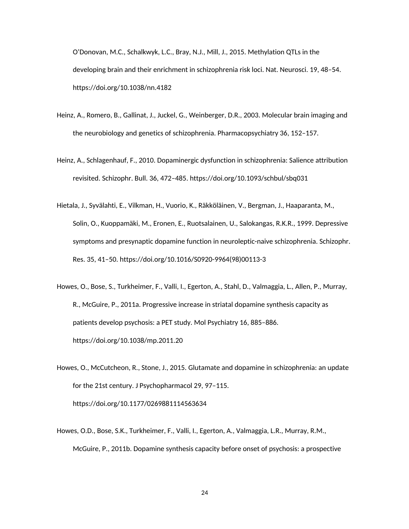O'Donovan, M.C., Schalkwyk, L.C., Bray, N.J., Mill, J., 2015. Methylation QTLs in the developing brain and their enrichment in schizophrenia risk loci. Nat. Neurosci. 19, 48–54. https://doi.org/10.1038/nn.4182

- Heinz, A., Romero, B., Gallinat, J., Juckel, G., Weinberger, D.R., 2003. Molecular brain imaging and the neurobiology and genetics of schizophrenia. Pharmacopsychiatry 36, 152–157.
- Heinz, A., Schlagenhauf, F., 2010. Dopaminergic dysfunction in schizophrenia: Salience attribution revisited. Schizophr. Bull. 36, 472–485. https://doi.org/10.1093/schbul/sbq031
- Hietala, J., Syvälahti, E., Vilkman, H., Vuorio, K., Räkköläinen, V., Bergman, J., Haaparanta, M., Solin, O., Kuoppamäki, M., Eronen, E., Ruotsalainen, U., Salokangas, R.K.R., 1999. Depressive symptoms and presynaptic dopamine function in neuroleptic-naive schizophrenia. Schizophr. Res. 35, 41–50. https://doi.org/10.1016/S0920-9964(98)00113-3
- Howes, O., Bose, S., Turkheimer, F., Valli, I., Egerton, A., Stahl, D., Valmaggia, L., Allen, P., Murray, R., McGuire, P., 2011a. Progressive increase in striatal dopamine synthesis capacity as patients develop psychosis: a PET study. Mol Psychiatry 16, 885–886. https://doi.org/10.1038/mp.2011.20
- Howes, O., McCutcheon, R., Stone, J., 2015. Glutamate and dopamine in schizophrenia: an update for the 21st century. J Psychopharmacol 29, 97–115. https://doi.org/10.1177/0269881114563634
- Howes, O.D., Bose, S.K., Turkheimer, F., Valli, I., Egerton, A., Valmaggia, L.R., Murray, R.M., McGuire, P., 2011b. Dopamine synthesis capacity before onset of psychosis: a prospective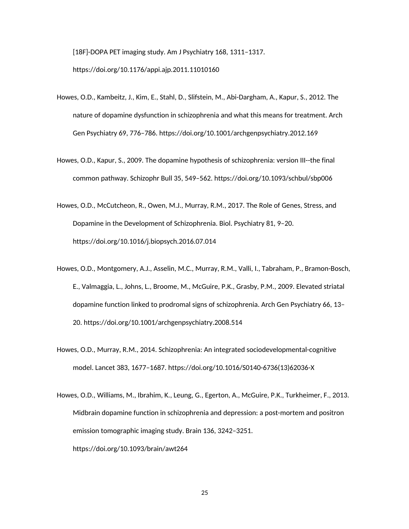[18F]-DOPA PET imaging study. Am J Psychiatry 168, 1311–1317. https://doi.org/10.1176/appi.ajp.2011.11010160

- Howes, O.D., Kambeitz, J., Kim, E., Stahl, D., Slifstein, M., Abi-Dargham, A., Kapur, S., 2012. The nature of dopamine dysfunction in schizophrenia and what this means for treatment. Arch Gen Psychiatry 69, 776–786. https://doi.org/10.1001/archgenpsychiatry.2012.169
- Howes, O.D., Kapur, S., 2009. The dopamine hypothesis of schizophrenia: version III--the final common pathway. Schizophr Bull 35, 549–562. https://doi.org/10.1093/schbul/sbp006
- Howes, O.D., McCutcheon, R., Owen, M.J., Murray, R.M., 2017. The Role of Genes, Stress, and Dopamine in the Development of Schizophrenia. Biol. Psychiatry 81, 9–20. https://doi.org/10.1016/j.biopsych.2016.07.014
- Howes, O.D., Montgomery, A.J., Asselin, M.C., Murray, R.M., Valli, I., Tabraham, P., Bramon-Bosch, E., Valmaggia, L., Johns, L., Broome, M., McGuire, P.K., Grasby, P.M., 2009. Elevated striatal dopamine function linked to prodromal signs of schizophrenia. Arch Gen Psychiatry 66, 13– 20. https://doi.org/10.1001/archgenpsychiatry.2008.514
- Howes, O.D., Murray, R.M., 2014. Schizophrenia: An integrated sociodevelopmental-cognitive model. Lancet 383, 1677–1687. https://doi.org/10.1016/S0140-6736(13)62036-X
- Howes, O.D., Williams, M., Ibrahim, K., Leung, G., Egerton, A., McGuire, P.K., Turkheimer, F., 2013. Midbrain dopamine function in schizophrenia and depression: a post-mortem and positron emission tomographic imaging study. Brain 136, 3242–3251. https://doi.org/10.1093/brain/awt264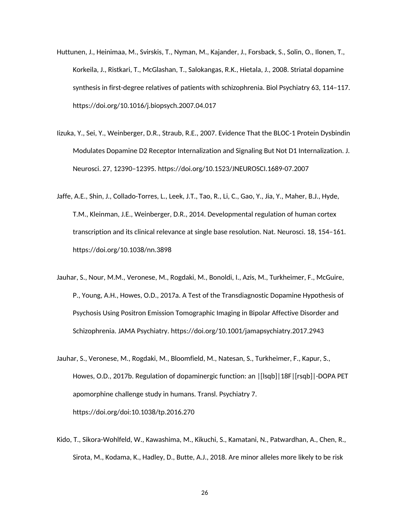- Huttunen, J., Heinimaa, M., Svirskis, T., Nyman, M., Kajander, J., Forsback, S., Solin, O., Ilonen, T., Korkeila, J., Ristkari, T., McGlashan, T., Salokangas, R.K., Hietala, J., 2008. Striatal dopamine synthesis in first-degree relatives of patients with schizophrenia. Biol Psychiatry 63, 114–117. https://doi.org/10.1016/j.biopsych.2007.04.017
- Iizuka, Y., Sei, Y., Weinberger, D.R., Straub, R.E., 2007. Evidence That the BLOC-1 Protein Dysbindin Modulates Dopamine D2 Receptor Internalization and Signaling But Not D1 Internalization. J. Neurosci. 27, 12390–12395. https://doi.org/10.1523/JNEUROSCI.1689-07.2007
- Jaffe, A.E., Shin, J., Collado-Torres, L., Leek, J.T., Tao, R., Li, C., Gao, Y., Jia, Y., Maher, B.J., Hyde, T.M., Kleinman, J.E., Weinberger, D.R., 2014. Developmental regulation of human cortex transcription and its clinical relevance at single base resolution. Nat. Neurosci. 18, 154–161. https://doi.org/10.1038/nn.3898
- Jauhar, S., Nour, M.M., Veronese, M., Rogdaki, M., Bonoldi, I., Azis, M., Turkheimer, F., McGuire, P., Young, A.H., Howes, O.D., 2017a. A Test of the Transdiagnostic Dopamine Hypothesis of Psychosis Using Positron Emission Tomographic Imaging in Bipolar Affective Disorder and Schizophrenia. JAMA Psychiatry. https://doi.org/10.1001/jamapsychiatry.2017.2943
- Jauhar, S., Veronese, M., Rogdaki, M., Bloomfield, M., Natesan, S., Turkheimer, F., Kapur, S., Howes, O.D., 2017b. Regulation of dopaminergic function: an |[lsqb]|18F|[rsqb]|-DOPA PET apomorphine challenge study in humans. Transl. Psychiatry 7.

https://doi.org/doi:10.1038/tp.2016.270

Kido, T., Sikora-Wohlfeld, W., Kawashima, M., Kikuchi, S., Kamatani, N., Patwardhan, A., Chen, R., Sirota, M., Kodama, K., Hadley, D., Butte, A.J., 2018. Are minor alleles more likely to be risk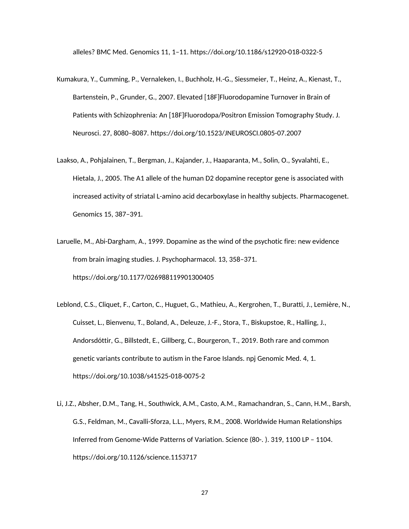alleles? BMC Med. Genomics 11, 1–11. https://doi.org/10.1186/s12920-018-0322-5

- Kumakura, Y., Cumming, P., Vernaleken, I., Buchholz, H.-G., Siessmeier, T., Heinz, A., Kienast, T., Bartenstein, P., Grunder, G., 2007. Elevated [18F]Fluorodopamine Turnover in Brain of Patients with Schizophrenia: An [18F]Fluorodopa/Positron Emission Tomography Study. J. Neurosci. 27, 8080–8087. https://doi.org/10.1523/JNEUROSCI.0805-07.2007
- Laakso, A., Pohjalainen, T., Bergman, J., Kajander, J., Haaparanta, M., Solin, O., Syvalahti, E., Hietala, J., 2005. The A1 allele of the human D2 dopamine receptor gene is associated with increased activity of striatal L-amino acid decarboxylase in healthy subjects. Pharmacogenet. Genomics 15, 387–391.
- Laruelle, M., Abi-Dargham, A., 1999. Dopamine as the wind of the psychotic fire: new evidence from brain imaging studies. J. Psychopharmacol. 13, 358–371. https://doi.org/10.1177/026988119901300405
- Leblond, C.S., Cliquet, F., Carton, C., Huguet, G., Mathieu, A., Kergrohen, T., Buratti, J., Lemière, N., Cuisset, L., Bienvenu, T., Boland, A., Deleuze, J.-F., Stora, T., Biskupstoe, R., Halling, J., Andorsdóttir, G., Billstedt, E., Gillberg, C., Bourgeron, T., 2019. Both rare and common genetic variants contribute to autism in the Faroe Islands. npj Genomic Med. 4, 1. https://doi.org/10.1038/s41525-018-0075-2
- Li, J.Z., Absher, D.M., Tang, H., Southwick, A.M., Casto, A.M., Ramachandran, S., Cann, H.M., Barsh, G.S., Feldman, M., Cavalli-Sforza, L.L., Myers, R.M., 2008. Worldwide Human Relationships Inferred from Genome-Wide Patterns of Variation. Science (80-. ). 319, 1100 LP – 1104. https://doi.org/10.1126/science.1153717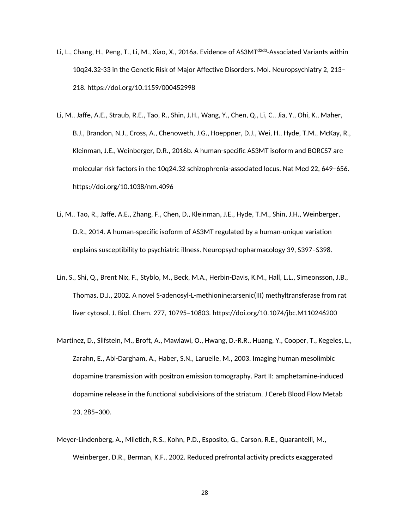- Li, L., Chang, H., Peng, T., Li, M., Xiao, X., 2016a. Evidence of AS3MT<sup>d2d3</sup>-Associated Variants within 10q24.32-33 in the Genetic Risk of Major Affective Disorders. Mol. Neuropsychiatry 2, 213– 218. https://doi.org/10.1159/000452998
- Li, M., Jaffe, A.E., Straub, R.E., Tao, R., Shin, J.H., Wang, Y., Chen, Q., Li, C., Jia, Y., Ohi, K., Maher, B.J., Brandon, N.J., Cross, A., Chenoweth, J.G., Hoeppner, D.J., Wei, H., Hyde, T.M., McKay, R., Kleinman, J.E., Weinberger, D.R., 2016b. A human-specific AS3MT isoform and BORCS7 are molecular risk factors in the 10q24.32 schizophrenia-associated locus. Nat Med 22, 649–656. https://doi.org/10.1038/nm.4096
- Li, M., Tao, R., Jaffe, A.E., Zhang, F., Chen, D., Kleinman, J.E., Hyde, T.M., Shin, J.H., Weinberger, D.R., 2014. A human-specific isoform of AS3MT regulated by a human-unique variation explains susceptibility to psychiatric illness. Neuropsychopharmacology 39, S397–S398.
- Lin, S., Shi, Q., Brent Nix, F., Styblo, M., Beck, M.A., Herbin-Davis, K.M., Hall, L.L., Simeonsson, J.B., Thomas, D.J., 2002. A novel S-adenosyl-L-methionine:arsenic(III) methyltransferase from rat liver cytosol. J. Biol. Chem. 277, 10795–10803. https://doi.org/10.1074/jbc.M110246200
- Martinez, D., Slifstein, M., Broft, A., Mawlawi, O., Hwang, D.-R.R., Huang, Y., Cooper, T., Kegeles, L., Zarahn, E., Abi-Dargham, A., Haber, S.N., Laruelle, M., 2003. Imaging human mesolimbic dopamine transmission with positron emission tomography. Part II: amphetamine-induced dopamine release in the functional subdivisions of the striatum. J Cereb Blood Flow Metab 23, 285–300.
- Meyer-Lindenberg, A., Miletich, R.S., Kohn, P.D., Esposito, G., Carson, R.E., Quarantelli, M., Weinberger, D.R., Berman, K.F., 2002. Reduced prefrontal activity predicts exaggerated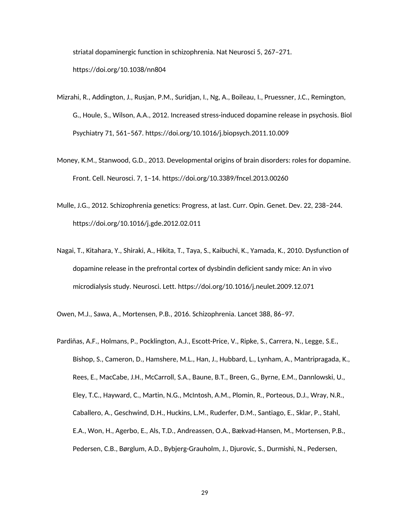striatal dopaminergic function in schizophrenia. Nat Neurosci 5, 267–271.

https://doi.org/10.1038/nn804

- Mizrahi, R., Addington, J., Rusjan, P.M., Suridjan, I., Ng, A., Boileau, I., Pruessner, J.C., Remington, G., Houle, S., Wilson, A.A., 2012. Increased stress-induced dopamine release in psychosis. Biol Psychiatry 71, 561–567. https://doi.org/10.1016/j.biopsych.2011.10.009
- Money, K.M., Stanwood, G.D., 2013. Developmental origins of brain disorders: roles for dopamine. Front. Cell. Neurosci. 7, 1–14. https://doi.org/10.3389/fncel.2013.00260
- Mulle, J.G., 2012. Schizophrenia genetics: Progress, at last. Curr. Opin. Genet. Dev. 22, 238–244. https://doi.org/10.1016/j.gde.2012.02.011
- Nagai, T., Kitahara, Y., Shiraki, A., Hikita, T., Taya, S., Kaibuchi, K., Yamada, K., 2010. Dysfunction of dopamine release in the prefrontal cortex of dysbindin deficient sandy mice: An in vivo microdialysis study. Neurosci. Lett. https://doi.org/10.1016/j.neulet.2009.12.071

Owen, M.J., Sawa, A., Mortensen, P.B., 2016. Schizophrenia. Lancet 388, 86–97.

Pardiñas, A.F., Holmans, P., Pocklington, A.J., Escott-Price, V., Ripke, S., Carrera, N., Legge, S.E., Bishop, S., Cameron, D., Hamshere, M.L., Han, J., Hubbard, L., Lynham, A., Mantripragada, K., Rees, E., MacCabe, J.H., McCarroll, S.A., Baune, B.T., Breen, G., Byrne, E.M., Dannlowski, U., Eley, T.C., Hayward, C., Martin, N.G., McIntosh, A.M., Plomin, R., Porteous, D.J., Wray, N.R., Caballero, A., Geschwind, D.H., Huckins, L.M., Ruderfer, D.M., Santiago, E., Sklar, P., Stahl, E.A., Won, H., Agerbo, E., Als, T.D., Andreassen, O.A., Bækvad-Hansen, M., Mortensen, P.B., Pedersen, C.B., Børglum, A.D., Bybjerg-Grauholm, J., Djurovic, S., Durmishi, N., Pedersen,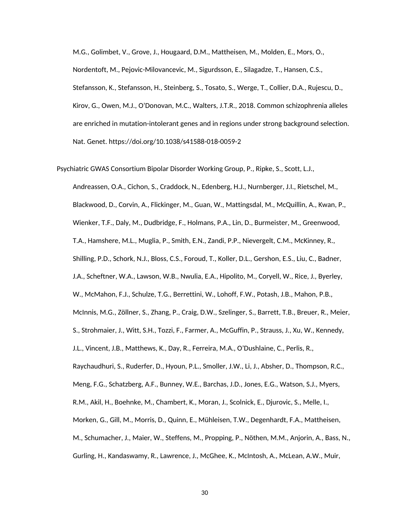M.G., Golimbet, V., Grove, J., Hougaard, D.M., Mattheisen, M., Molden, E., Mors, O., Nordentoft, M., Pejovic-Milovancevic, M., Sigurdsson, E., Silagadze, T., Hansen, C.S., Stefansson, K., Stefansson, H., Steinberg, S., Tosato, S., Werge, T., Collier, D.A., Rujescu, D., Kirov, G., Owen, M.J., O'Donovan, M.C., Walters, J.T.R., 2018. Common schizophrenia alleles are enriched in mutation-intolerant genes and in regions under strong background selection. Nat. Genet. https://doi.org/10.1038/s41588-018-0059-2

Psychiatric GWAS Consortium Bipolar Disorder Working Group, P., Ripke, S., Scott, L.J., Andreassen, O.A., Cichon, S., Craddock, N., Edenberg, H.J., Nurnberger, J.I., Rietschel, M., Blackwood, D., Corvin, A., Flickinger, M., Guan, W., Mattingsdal, M., McQuillin, A., Kwan, P., Wienker, T.F., Daly, M., Dudbridge, F., Holmans, P.A., Lin, D., Burmeister, M., Greenwood, T.A., Hamshere, M.L., Muglia, P., Smith, E.N., Zandi, P.P., Nievergelt, C.M., McKinney, R., Shilling, P.D., Schork, N.J., Bloss, C.S., Foroud, T., Koller, D.L., Gershon, E.S., Liu, C., Badner, J.A., Scheftner, W.A., Lawson, W.B., Nwulia, E.A., Hipolito, M., Coryell, W., Rice, J., Byerley, W., McMahon, F.J., Schulze, T.G., Berrettini, W., Lohoff, F.W., Potash, J.B., Mahon, P.B., McInnis, M.G., Zöllner, S., Zhang, P., Craig, D.W., Szelinger, S., Barrett, T.B., Breuer, R., Meier, S., Strohmaier, J., Witt, S.H., Tozzi, F., Farmer, A., McGuffin, P., Strauss, J., Xu, W., Kennedy, J.L., Vincent, J.B., Matthews, K., Day, R., Ferreira, M.A., O'Dushlaine, C., Perlis, R., Raychaudhuri, S., Ruderfer, D., Hyoun, P.L., Smoller, J.W., Li, J., Absher, D., Thompson, R.C., Meng, F.G., Schatzberg, A.F., Bunney, W.E., Barchas, J.D., Jones, E.G., Watson, S.J., Myers, R.M., Akil, H., Boehnke, M., Chambert, K., Moran, J., Scolnick, E., Djurovic, S., Melle, I., Morken, G., Gill, M., Morris, D., Quinn, E., Mühleisen, T.W., Degenhardt, F.A., Mattheisen, M., Schumacher, J., Maier, W., Steffens, M., Propping, P., Nöthen, M.M., Anjorin, A., Bass, N., Gurling, H., Kandaswamy, R., Lawrence, J., McGhee, K., McIntosh, A., McLean, A.W., Muir,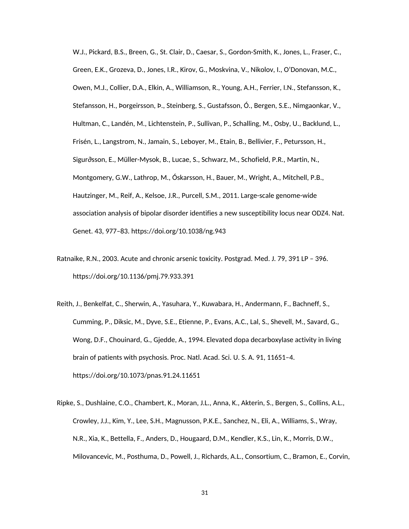W.J., Pickard, B.S., Breen, G., St. Clair, D., Caesar, S., Gordon-Smith, K., Jones, L., Fraser, C., Green, E.K., Grozeva, D., Jones, I.R., Kirov, G., Moskvina, V., Nikolov, I., O'Donovan, M.C., Owen, M.J., Collier, D.A., Elkin, A., Williamson, R., Young, A.H., Ferrier, I.N., Stefansson, K., Stefansson, H., Þorgeirsson, Þ., Steinberg, S., Gustafsson, Ó., Bergen, S.E., Nimgaonkar, V., Hultman, C., Landén, M., Lichtenstein, P., Sullivan, P., Schalling, M., Osby, U., Backlund, L., Frisén, L., Langstrom, N., Jamain, S., Leboyer, M., Etain, B., Bellivier, F., Petursson, H., Sigur∂sson, E., Müller-Mysok, B., Lucae, S., Schwarz, M., Schofield, P.R., Martin, N., Montgomery, G.W., Lathrop, M., Óskarsson, H., Bauer, M., Wright, A., Mitchell, P.B., Hautzinger, M., Reif, A., Kelsoe, J.R., Purcell, S.M., 2011. Large-scale genome-wide association analysis of bipolar disorder identifies a new susceptibility locus near ODZ4. Nat. Genet. 43, 977–83. https://doi.org/10.1038/ng.943

- Ratnaike, R.N., 2003. Acute and chronic arsenic toxicity. Postgrad. Med. J. 79, 391 LP 396. https://doi.org/10.1136/pmj.79.933.391
- Reith, J., Benkelfat, C., Sherwin, A., Yasuhara, Y., Kuwabara, H., Andermann, F., Bachneff, S., Cumming, P., Diksic, M., Dyve, S.E., Etienne, P., Evans, A.C., Lal, S., Shevell, M., Savard, G., Wong, D.F., Chouinard, G., Gjedde, A., 1994. Elevated dopa decarboxylase activity in living brain of patients with psychosis. Proc. Natl. Acad. Sci. U. S. A. 91, 11651–4. https://doi.org/10.1073/pnas.91.24.11651
- Ripke, S., Dushlaine, C.O., Chambert, K., Moran, J.L., Anna, K., Akterin, S., Bergen, S., Collins, A.L., Crowley, J.J., Kim, Y., Lee, S.H., Magnusson, P.K.E., Sanchez, N., Eli, A., Williams, S., Wray, N.R., Xia, K., Bettella, F., Anders, D., Hougaard, D.M., Kendler, K.S., Lin, K., Morris, D.W., Milovancevic, M., Posthuma, D., Powell, J., Richards, A.L., Consortium, C., Bramon, E., Corvin,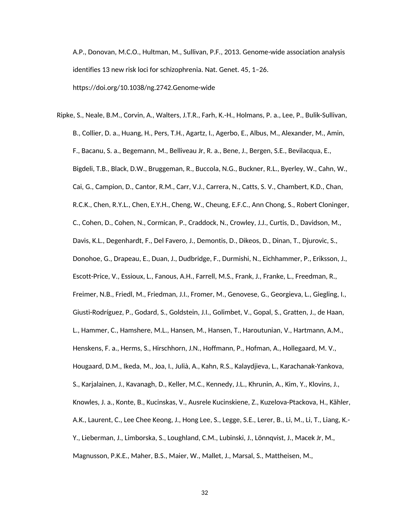A.P., Donovan, M.C.O., Hultman, M., Sullivan, P.F., 2013. Genome-wide association analysis identifies 13 new risk loci for schizophrenia. Nat. Genet. 45, 1–26. https://doi.org/10.1038/ng.2742.Genome-wide

Ripke, S., Neale, B.M., Corvin, A., Walters, J.T.R., Farh, K.-H., Holmans, P. a., Lee, P., Bulik-Sullivan, B., Collier, D. a., Huang, H., Pers, T.H., Agartz, I., Agerbo, E., Albus, M., Alexander, M., Amin, F., Bacanu, S. a., Begemann, M., Belliveau Jr, R. a., Bene, J., Bergen, S.E., Bevilacqua, E., Bigdeli, T.B., Black, D.W., Bruggeman, R., Buccola, N.G., Buckner, R.L., Byerley, W., Cahn, W., Cai, G., Campion, D., Cantor, R.M., Carr, V.J., Carrera, N., Catts, S. V., Chambert, K.D., Chan, R.C.K., Chen, R.Y.L., Chen, E.Y.H., Cheng, W., Cheung, E.F.C., Ann Chong, S., Robert Cloninger, C., Cohen, D., Cohen, N., Cormican, P., Craddock, N., Crowley, J.J., Curtis, D., Davidson, M., Davis, K.L., Degenhardt, F., Del Favero, J., Demontis, D., Dikeos, D., Dinan, T., Djurovic, S., Donohoe, G., Drapeau, E., Duan, J., Dudbridge, F., Durmishi, N., Eichhammer, P., Eriksson, J., Escott-Price, V., Essioux, L., Fanous, A.H., Farrell, M.S., Frank, J., Franke, L., Freedman, R., Freimer, N.B., Friedl, M., Friedman, J.I., Fromer, M., Genovese, G., Georgieva, L., Giegling, I., Giusti-Rodríguez, P., Godard, S., Goldstein, J.I., Golimbet, V., Gopal, S., Gratten, J., de Haan, L., Hammer, C., Hamshere, M.L., Hansen, M., Hansen, T., Haroutunian, V., Hartmann, A.M., Henskens, F. a., Herms, S., Hirschhorn, J.N., Hoffmann, P., Hofman, A., Hollegaard, M. V., Hougaard, D.M., Ikeda, M., Joa, I., Julià, A., Kahn, R.S., Kalaydjieva, L., Karachanak-Yankova, S., Karjalainen, J., Kavanagh, D., Keller, M.C., Kennedy, J.L., Khrunin, A., Kim, Y., Klovins, J., Knowles, J. a., Konte, B., Kucinskas, V., Ausrele Kucinskiene, Z., Kuzelova-Ptackova, H., Kähler, A.K., Laurent, C., Lee Chee Keong, J., Hong Lee, S., Legge, S.E., Lerer, B., Li, M., Li, T., Liang, K.- Y., Lieberman, J., Limborska, S., Loughland, C.M., Lubinski, J., Lönnqvist, J., Macek Jr, M., Magnusson, P.K.E., Maher, B.S., Maier, W., Mallet, J., Marsal, S., Mattheisen, M.,

32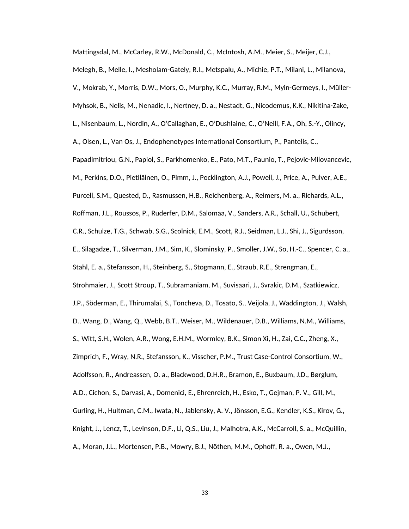Mattingsdal, M., McCarley, R.W., McDonald, C., McIntosh, A.M., Meier, S., Meijer, C.J.,

Melegh, B., Melle, I., Mesholam-Gately, R.I., Metspalu, A., Michie, P.T., Milani, L., Milanova,

V., Mokrab, Y., Morris, D.W., Mors, O., Murphy, K.C., Murray, R.M., Myin-Germeys, I., Müller-

Myhsok, B., Nelis, M., Nenadic, I., Nertney, D. a., Nestadt, G., Nicodemus, K.K., Nikitina-Zake,

L., Nisenbaum, L., Nordin, A., O'Callaghan, E., O'Dushlaine, C., O'Neill, F.A., Oh, S.-Y., Olincy,

A., Olsen, L., Van Os, J., Endophenotypes International Consortium, P., Pantelis, C.,

Papadimitriou, G.N., Papiol, S., Parkhomenko, E., Pato, M.T., Paunio, T., Pejovic-Milovancevic,

M., Perkins, D.O., Pietiläinen, O., Pimm, J., Pocklington, A.J., Powell, J., Price, A., Pulver, A.E.,

Purcell, S.M., Quested, D., Rasmussen, H.B., Reichenberg, A., Reimers, M. a., Richards, A.L.,

Roffman, J.L., Roussos, P., Ruderfer, D.M., Salomaa, V., Sanders, A.R., Schall, U., Schubert,

C.R., Schulze, T.G., Schwab, S.G., Scolnick, E.M., Scott, R.J., Seidman, L.J., Shi, J., Sigurdsson,

E., Silagadze, T., Silverman, J.M., Sim, K., Slominsky, P., Smoller, J.W., So, H.-C., Spencer, C. a.,

Stahl, E. a., Stefansson, H., Steinberg, S., Stogmann, E., Straub, R.E., Strengman, E.,

Strohmaier, J., Scott Stroup, T., Subramaniam, M., Suvisaari, J., Svrakic, D.M., Szatkiewicz,

J.P., Söderman, E., Thirumalai, S., Toncheva, D., Tosato, S., Veijola, J., Waddington, J., Walsh,

D., Wang, D., Wang, Q., Webb, B.T., Weiser, M., Wildenauer, D.B., Williams, N.M., Williams,

S., Witt, S.H., Wolen, A.R., Wong, E.H.M., Wormley, B.K., Simon Xi, H., Zai, C.C., Zheng, X.,

Zimprich, F., Wray, N.R., Stefansson, K., Visscher, P.M., Trust Case-Control Consortium, W.,

Adolfsson, R., Andreassen, O. a., Blackwood, D.H.R., Bramon, E., Buxbaum, J.D., Børglum,

A.D., Cichon, S., Darvasi, A., Domenici, E., Ehrenreich, H., Esko, T., Gejman, P. V., Gill, M.,

Gurling, H., Hultman, C.M., Iwata, N., Jablensky, A. V., Jönsson, E.G., Kendler, K.S., Kirov, G.,

Knight, J., Lencz, T., Levinson, D.F., Li, Q.S., Liu, J., Malhotra, A.K., McCarroll, S. a., McQuillin,

A., Moran, J.L., Mortensen, P.B., Mowry, B.J., Nöthen, M.M., Ophoff, R. a., Owen, M.J.,

33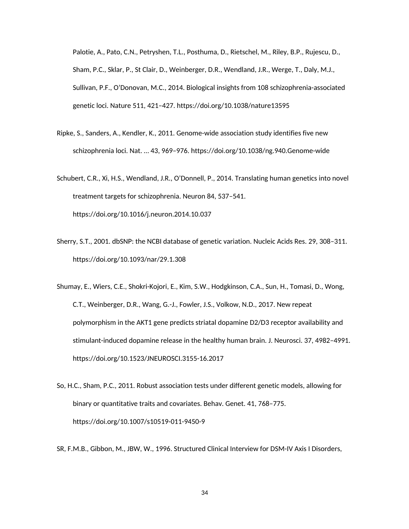Palotie, A., Pato, C.N., Petryshen, T.L., Posthuma, D., Rietschel, M., Riley, B.P., Rujescu, D., Sham, P.C., Sklar, P., St Clair, D., Weinberger, D.R., Wendland, J.R., Werge, T., Daly, M.J., Sullivan, P.F., O'Donovan, M.C., 2014. Biological insights from 108 schizophrenia-associated genetic loci. Nature 511, 421–427. https://doi.org/10.1038/nature13595

- Ripke, S., Sanders, A., Kendler, K., 2011. Genome-wide association study identifies five new schizophrenia loci. Nat. … 43, 969–976. https://doi.org/10.1038/ng.940.Genome-wide
- Schubert, C.R., Xi, H.S., Wendland, J.R., O'Donnell, P., 2014. Translating human genetics into novel treatment targets for schizophrenia. Neuron 84, 537–541. https://doi.org/10.1016/j.neuron.2014.10.037
- Sherry, S.T., 2001. dbSNP: the NCBI database of genetic variation. Nucleic Acids Res. 29, 308–311. https://doi.org/10.1093/nar/29.1.308
- Shumay, E., Wiers, C.E., Shokri-Kojori, E., Kim, S.W., Hodgkinson, C.A., Sun, H., Tomasi, D., Wong, C.T., Weinberger, D.R., Wang, G.-J., Fowler, J.S., Volkow, N.D., 2017. New repeat polymorphism in the AKT1 gene predicts striatal dopamine D2/D3 receptor availability and stimulant-induced dopamine release in the healthy human brain. J. Neurosci. 37, 4982–4991. https://doi.org/10.1523/JNEUROSCI.3155-16.2017
- So, H.C., Sham, P.C., 2011. Robust association tests under different genetic models, allowing for binary or quantitative traits and covariates. Behav. Genet. 41, 768–775. https://doi.org/10.1007/s10519-011-9450-9
- SR, F.M.B., Gibbon, M., JBW, W., 1996. Structured Clinical Interview for DSM-IV Axis I Disorders,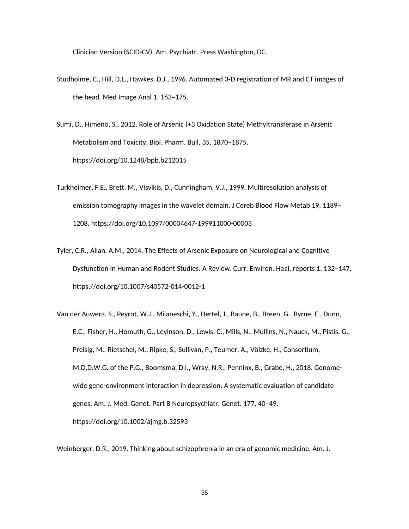Clinician Version (SCID-CV). Am. Psychiatr. Press Washington, DC.

Studholme, C., Hill, D.L., Hawkes, D.J., 1996. Automated 3-D registration of MR and CT images of the head. Med Image Anal 1, 163–175.

Sumi, D., Himeno, S., 2012. Role of Arsenic (+3 Oxidation State) Methyltransferase in Arsenic Metabolism and Toxicity. Biol. Pharm. Bull. 35, 1870–1875. https://doi.org/10.1248/bpb.b212015

- Turkheimer, F.E., Brett, M., Visvikis, D., Cunningham, V.J., 1999. Multiresolution analysis of emission tomography images in the wavelet domain. J Cereb Blood Flow Metab 19, 1189– 1208. https://doi.org/10.1097/00004647-199911000-00003
- Tyler, C.R., Allan, A.M., 2014. The Effects of Arsenic Exposure on Neurological and Cognitive Dysfunction in Human and Rodent Studies: A Review. Curr. Environ. Heal. reports 1, 132–147. https://doi.org/10.1007/s40572-014-0012-1
- Van der Auwera, S., Peyrot, W.J., Milaneschi, Y., Hertel, J., Baune, B., Breen, G., Byrne, E., Dunn, E.C., Fisher, H., Homuth, G., Levinson, D., Lewis, C., Mills, N., Mullins, N., Nauck, M., Pistis, G., Preisig, M., Rietschel, M., Ripke, S., Sullivan, P., Teumer, A., Völzke, H., Consortium, M.D.D.W.G. of the P.G., Boomsma, D.I., Wray, N.R., Penninx, B., Grabe, H., 2018. Genomewide gene-environment interaction in depression: A systematic evaluation of candidate genes. Am. J. Med. Genet. Part B Neuropsychiatr. Genet. 177, 40–49. https://doi.org/10.1002/ajmg.b.32593

Weinberger, D.R., 2019. Thinking about schizophrenia in an era of genomic medicine. Am. J.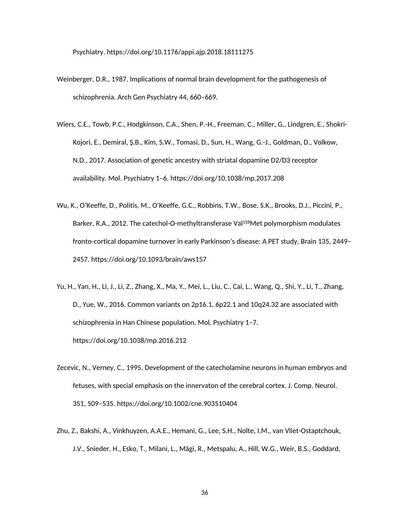Psychiatry. https://doi.org/10.1176/appi.ajp.2018.18111275

- Weinberger, D.R., 1987. Implications of normal brain development for the pathogenesis of schizophrenia. Arch Gen Psychiatry 44, 660–669.
- Wiers, C.E., Towb, P.C., Hodgkinson, C.A., Shen, P.-H., Freeman, C., Miller, G., Lindgren, E., Shokri-Kojori, E., Demiral, Ş.B., Kim, S.W., Tomasi, D., Sun, H., Wang, G.-J., Goldman, D., Volkow, N.D., 2017. Association of genetic ancestry with striatal dopamine D2/D3 receptor availability. Mol. Psychiatry 1–6. https://doi.org/10.1038/mp.2017.208
- Wu, K., O'Keeffe, D., Politis, M., O'Keeffe, G.C., Robbins, T.W., Bose, S.K., Brooks, D.J., Piccini, P., Barker, R.A., 2012. The catechol-O-methyltransferase Val<sup>158</sup>Met polymorphism modulates fronto-cortical dopamine turnover in early Parkinson's disease: A PET study. Brain 135, 2449– 2457. https://doi.org/10.1093/brain/aws157
- Yu, H., Yan, H., Li, J., Li, Z., Zhang, X., Ma, Y., Mei, L., Liu, C., Cai, L., Wang, Q., Shi, Y., Li, T., Zhang, D., Yue, W., 2016. Common variants on 2p16.1, 6p22.1 and 10q24.32 are associated with schizophrenia in Han Chinese population. Mol. Psychiatry 1–7. https://doi.org/10.1038/mp.2016.212
- Zecevic, N., Verney, C., 1995. Development of the catecholamine neurons in human embryos and fetuses, with special emphasis on the innervaton of the cerebral cortex. J. Comp. Neurol. 351, 509–535. https://doi.org/10.1002/cne.903510404
- Zhu, Z., Bakshi, A., Vinkhuyzen, A.A.E., Hemani, G., Lee, S.H., Nolte, I.M., van Vliet-Ostaptchouk, J.V., Snieder, H., Esko, T., Milani, L., Mägi, R., Metspalu, A., Hill, W.G., Weir, B.S., Goddard,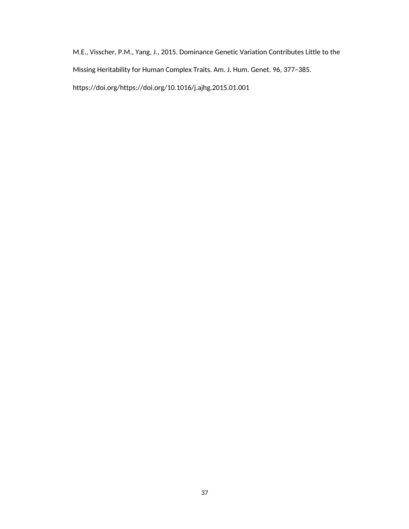M.E., Visscher, P.M., Yang, J., 2015. Dominance Genetic Variation Contributes Little to the Missing Heritability for Human Complex Traits. Am. J. Hum. Genet. 96, 377–385. https://doi.org/https://doi.org/10.1016/j.ajhg.2015.01.001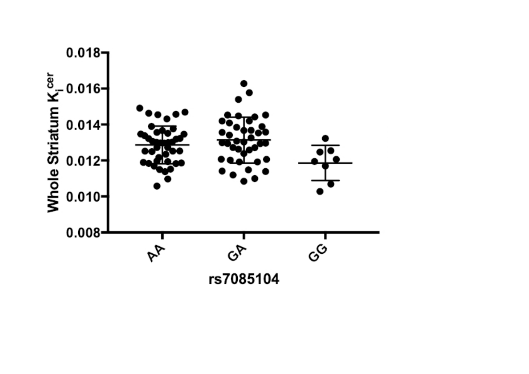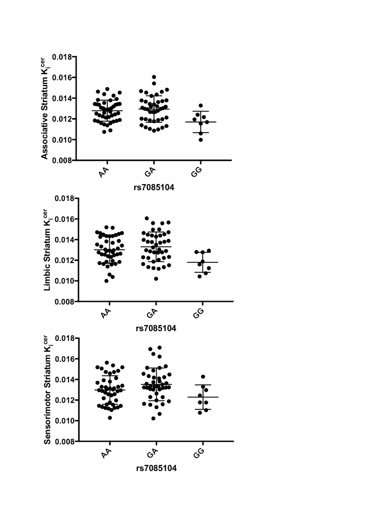